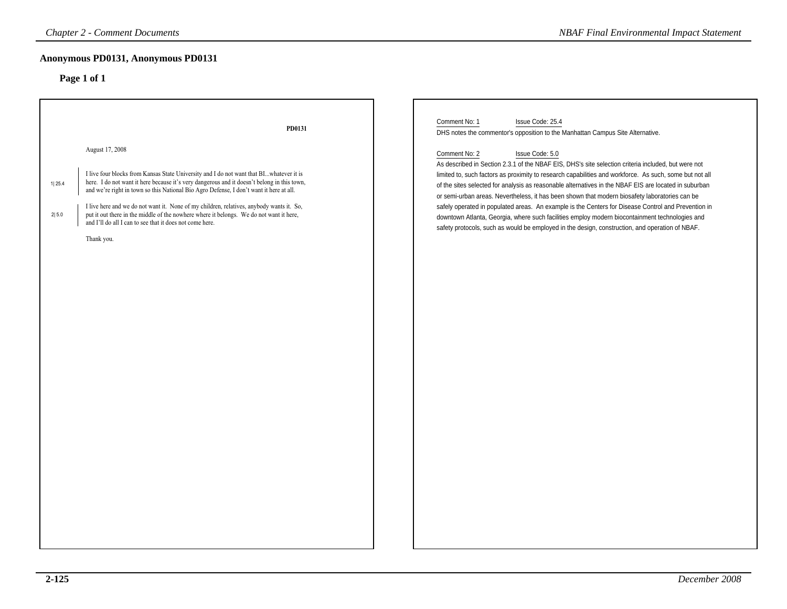# **Anonymous PD0131, Anonymous PD0131**

| <b>Chapter 2 - Comment Documents</b>                                                                                                                                                                                                                                                                                                                                                                                                                                                                                                                                                               | <b>NBAF Final Environmental Impact Statement</b>                                                                                                                                                                                                                                                                                                                                                                                                                                                                                                                                                                                                                                                                                                                                                                                                                                                 |
|----------------------------------------------------------------------------------------------------------------------------------------------------------------------------------------------------------------------------------------------------------------------------------------------------------------------------------------------------------------------------------------------------------------------------------------------------------------------------------------------------------------------------------------------------------------------------------------------------|--------------------------------------------------------------------------------------------------------------------------------------------------------------------------------------------------------------------------------------------------------------------------------------------------------------------------------------------------------------------------------------------------------------------------------------------------------------------------------------------------------------------------------------------------------------------------------------------------------------------------------------------------------------------------------------------------------------------------------------------------------------------------------------------------------------------------------------------------------------------------------------------------|
| Anonymous PD0131, Anonymous PD0131<br>Page 1 of 1                                                                                                                                                                                                                                                                                                                                                                                                                                                                                                                                                  |                                                                                                                                                                                                                                                                                                                                                                                                                                                                                                                                                                                                                                                                                                                                                                                                                                                                                                  |
| PD0131<br>August 17, 2008<br>I live four blocks from Kansas State University and I do not want that BIwhatever it is<br>here. I do not want it here because it's very dangerous and it doesn't belong in this town,<br>1 25.4<br>and we're right in town so this National Bio Agro Defense, I don't want it here at all.<br>I live here and we do not want it. None of my children, relatives, anybody wants it. So,<br>put it out there in the middle of the nowhere where it belongs. We do not want it here,<br>2 5.0<br>and I'll do all I can to see that it does not come here.<br>Thank you. | Comment No: 1<br>Issue Code: 25.4<br>DHS notes the commentor's opposition to the Manhattan Campus Site Alternative.<br>Comment No: 2<br>Issue Code: 5.0<br>As described in Section 2.3.1 of the NBAF EIS, DHS's site selection criteria included, but were not<br>limited to, such factors as proximity to research capabilities and workforce. As such, some but not all<br>of the sites selected for analysis as reasonable alternatives in the NBAF EIS are located in suburban<br>or semi-urban areas. Nevertheless, it has been shown that modern biosafety laboratories can be<br>safely operated in populated areas. An example is the Centers for Disease Control and Prevention in<br>downtown Atlanta, Georgia, where such facilities employ modern biocontainment technologies and<br>safety protocols, such as would be employed in the design, construction, and operation of NBAF. |
|                                                                                                                                                                                                                                                                                                                                                                                                                                                                                                                                                                                                    |                                                                                                                                                                                                                                                                                                                                                                                                                                                                                                                                                                                                                                                                                                                                                                                                                                                                                                  |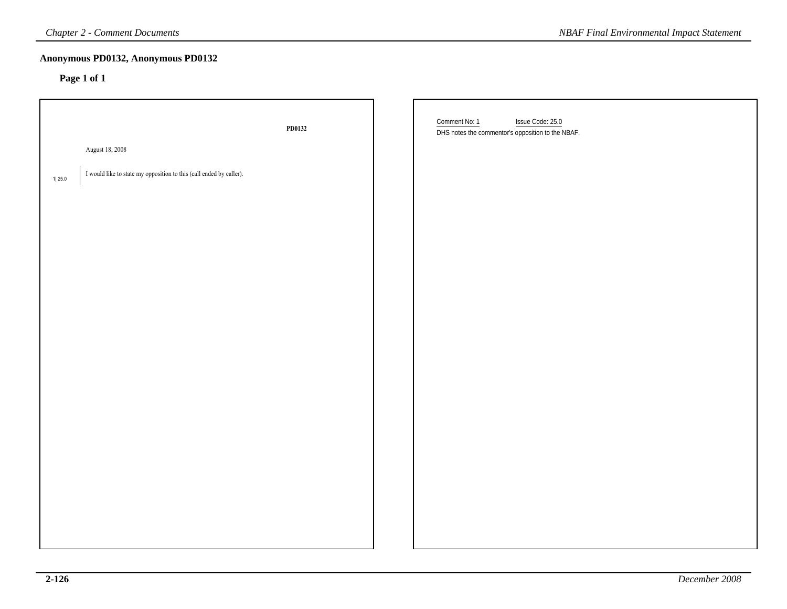| <b>Chapter 2 - Comment Documents</b>                                            |        | <b>NBAF Final Environmental Impact Statement</b>                                       |
|---------------------------------------------------------------------------------|--------|----------------------------------------------------------------------------------------|
| Anonymous PD0132, Anonymous PD0132<br>Page 1 of 1                               |        |                                                                                        |
|                                                                                 | PD0132 | Comment No: 1<br>Issue Code: 25.0<br>DHS notes the commentor's opposition to the NBAF. |
| August 18, 2008                                                                 |        |                                                                                        |
| I would like to state my opposition to this (call ended by caller).<br>$1 25.0$ |        |                                                                                        |
|                                                                                 |        |                                                                                        |
|                                                                                 |        |                                                                                        |
|                                                                                 |        |                                                                                        |
|                                                                                 |        |                                                                                        |
|                                                                                 |        |                                                                                        |
|                                                                                 |        |                                                                                        |
|                                                                                 |        |                                                                                        |
|                                                                                 |        |                                                                                        |
|                                                                                 |        |                                                                                        |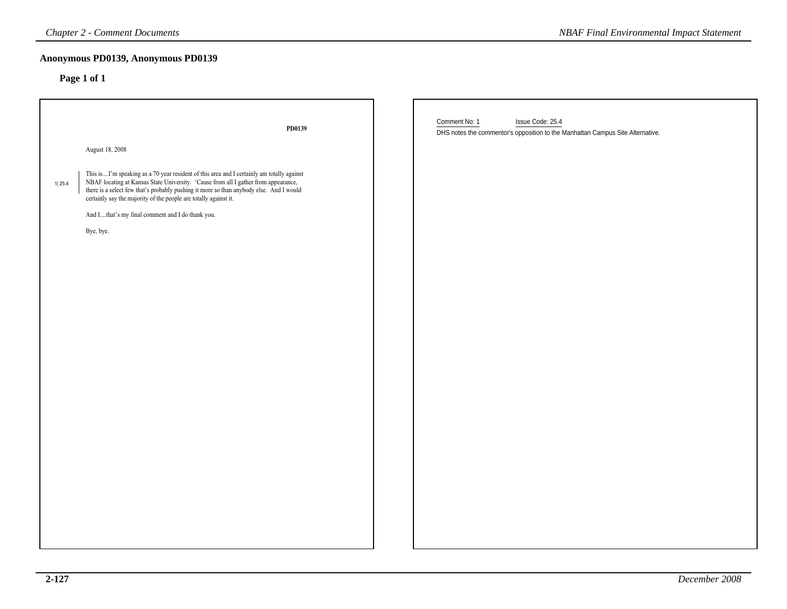|        | <b>Chapter 2 - Comment Documents</b>                                                                                                                                                                                                                                                                                                                                                                       | <b>NBAF Final Environmental Impact Statement</b>                                                                    |
|--------|------------------------------------------------------------------------------------------------------------------------------------------------------------------------------------------------------------------------------------------------------------------------------------------------------------------------------------------------------------------------------------------------------------|---------------------------------------------------------------------------------------------------------------------|
|        | Anonymous PD0139, Anonymous PD0139<br>Page 1 of 1                                                                                                                                                                                                                                                                                                                                                          |                                                                                                                     |
|        | PD0139                                                                                                                                                                                                                                                                                                                                                                                                     | Comment No: 1<br>Issue Code: 25.4<br>DHS notes the commentor's opposition to the Manhattan Campus Site Alternative. |
|        | August 18, 2008                                                                                                                                                                                                                                                                                                                                                                                            |                                                                                                                     |
| 1 25.4 | This isI'm speaking as a 70 year resident of this area and I certainly am totally against NBAF locating at Kansas State University. 'Cause from all I gather from appearance,<br>there is a select few that's probably pushing it more so than anybody else. And I would certainly say the majority of the people are totally against it.<br>And Ithat's my final comment and I do thank you.<br>Bye, bye. |                                                                                                                     |
|        |                                                                                                                                                                                                                                                                                                                                                                                                            |                                                                                                                     |
|        |                                                                                                                                                                                                                                                                                                                                                                                                            |                                                                                                                     |
|        |                                                                                                                                                                                                                                                                                                                                                                                                            |                                                                                                                     |
|        |                                                                                                                                                                                                                                                                                                                                                                                                            |                                                                                                                     |
|        |                                                                                                                                                                                                                                                                                                                                                                                                            |                                                                                                                     |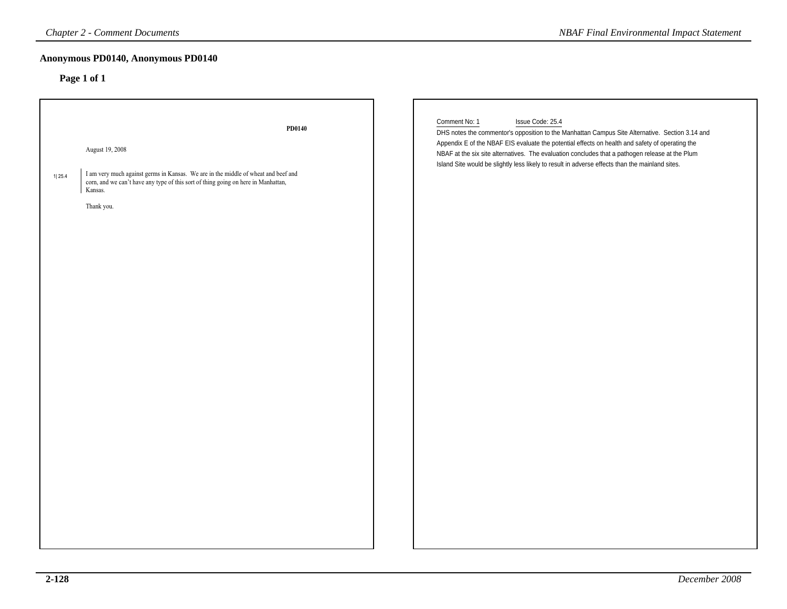# **Anonymous PD0140, Anonymous PD0140**

|             | <b>Chapter 2 - Comment Documents</b>                                                                                                                                                                                        | <b>NBAF Final Environmental Impact Statement</b>                                                                                                                                                                                                                                                                                                                                                                                              |
|-------------|-----------------------------------------------------------------------------------------------------------------------------------------------------------------------------------------------------------------------------|-----------------------------------------------------------------------------------------------------------------------------------------------------------------------------------------------------------------------------------------------------------------------------------------------------------------------------------------------------------------------------------------------------------------------------------------------|
| Page 1 of 1 | Anonymous PD0140, Anonymous PD0140                                                                                                                                                                                          |                                                                                                                                                                                                                                                                                                                                                                                                                                               |
| 1 25.4      | PD0140<br>August 19, 2008<br>I am very much against germs in Kansas. We are in the middle of wheat and beef and corn, and we can't have any type of this sort of thing going on here in Manhattan,<br>Kansas.<br>Thank you. | Comment No: 1<br>Issue Code: 25.4<br>DHS notes the commentor's opposition to the Manhattan Campus Site Alternative. Section 3.14 and<br>Appendix E of the NBAF EIS evaluate the potential effects on health and safety of operating the<br>NBAF at the six site alternatives. The evaluation concludes that a pathogen release at the Plum<br>Island Site would be slightly less likely to result in adverse effects than the mainland sites. |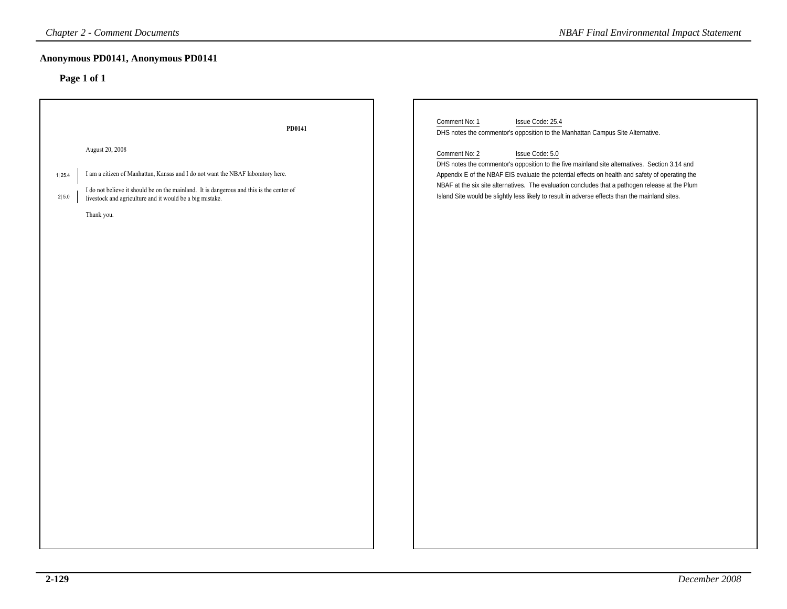| Page 1 of 1<br>Comment No: 1<br>Issue Code: 25.4<br>PD0141<br>DHS notes the commentor's opposition to the Manhattan Campus Site Alternative.<br>August 20, 2008<br>Comment No: 2<br>Issue Code: 5.0<br>DHS notes the commentor's opposition to the five mainland site alternatives. Section 3.14 and<br>I am a citizen of Manhattan, Kansas and I do not want the NBAF laboratory here.<br>Appendix E of the NBAF EIS evaluate the potential effects on health and safety of operating the<br>1 25.4<br>NBAF at the six site alternatives. The evaluation concludes that a pathogen release at the Plum<br>I do not believe it should be on the mainland. It is dangerous and this is the center of<br>Island Site would be slightly less likely to result in adverse effects than the mainland sites.<br>$2 \,5.0$<br>livestock and agriculture and it would be a big mistake.<br>Thank you. | <b>Chapter 2 - Comment Documents</b> | <b>NBAF Final Environmental Impact Statement</b> |
|-----------------------------------------------------------------------------------------------------------------------------------------------------------------------------------------------------------------------------------------------------------------------------------------------------------------------------------------------------------------------------------------------------------------------------------------------------------------------------------------------------------------------------------------------------------------------------------------------------------------------------------------------------------------------------------------------------------------------------------------------------------------------------------------------------------------------------------------------------------------------------------------------|--------------------------------------|--------------------------------------------------|
|                                                                                                                                                                                                                                                                                                                                                                                                                                                                                                                                                                                                                                                                                                                                                                                                                                                                                               | Anonymous PD0141, Anonymous PD0141   |                                                  |
|                                                                                                                                                                                                                                                                                                                                                                                                                                                                                                                                                                                                                                                                                                                                                                                                                                                                                               |                                      |                                                  |
|                                                                                                                                                                                                                                                                                                                                                                                                                                                                                                                                                                                                                                                                                                                                                                                                                                                                                               |                                      |                                                  |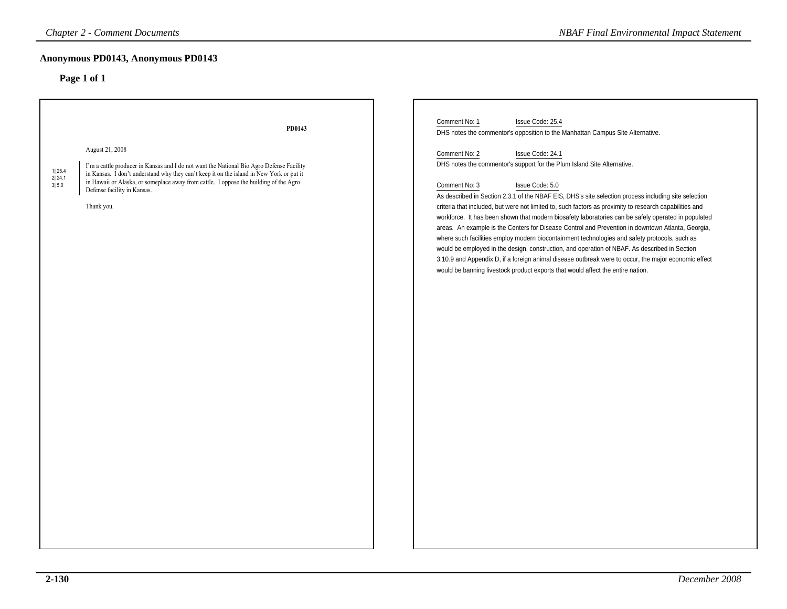# **Anonymous PD0143, Anonymous PD0143**

| <b>Chapter 2 - Comment Documents</b>                                                                                                                                                                                                                                                                                                                                       |        | <b>NBAF Final Environmental Impact Statement</b>                                                                                                                                                                                                                                                                                                                                                                                                                                                                                                                                                                                                                                                                                                                                                                                                                                                                                                                             |
|----------------------------------------------------------------------------------------------------------------------------------------------------------------------------------------------------------------------------------------------------------------------------------------------------------------------------------------------------------------------------|--------|------------------------------------------------------------------------------------------------------------------------------------------------------------------------------------------------------------------------------------------------------------------------------------------------------------------------------------------------------------------------------------------------------------------------------------------------------------------------------------------------------------------------------------------------------------------------------------------------------------------------------------------------------------------------------------------------------------------------------------------------------------------------------------------------------------------------------------------------------------------------------------------------------------------------------------------------------------------------------|
| Anonymous PD0143, Anonymous PD0143                                                                                                                                                                                                                                                                                                                                         |        |                                                                                                                                                                                                                                                                                                                                                                                                                                                                                                                                                                                                                                                                                                                                                                                                                                                                                                                                                                              |
| Page 1 of 1                                                                                                                                                                                                                                                                                                                                                                |        |                                                                                                                                                                                                                                                                                                                                                                                                                                                                                                                                                                                                                                                                                                                                                                                                                                                                                                                                                                              |
|                                                                                                                                                                                                                                                                                                                                                                            | PD0143 | Comment No: 1<br>Issue Code: 25.4<br>DHS notes the commentor's opposition to the Manhattan Campus Site Alternative.                                                                                                                                                                                                                                                                                                                                                                                                                                                                                                                                                                                                                                                                                                                                                                                                                                                          |
| August 21, 2008<br>I'm a cattle producer in Kansas and I do not want the National Bio Agro Defense Facility<br>1 25.4<br>in Kansas. I don't understand why they can't keep it on the island in New York or put it<br>2 24.1<br>in Hawaii or Alaska, or someplace away from cattle. I oppose the building of the Agro<br>3 5.0<br>Defense facility in Kansas.<br>Thank you. |        | Comment No: 2<br>Issue Code: 24.1<br>DHS notes the commentor's support for the Plum Island Site Alternative.<br>Comment No: 3<br>Issue Code: 5.0<br>As described in Section 2.3.1 of the NBAF EIS, DHS's site selection process including site selection<br>criteria that included, but were not limited to, such factors as proximity to research capabilities and<br>workforce. It has been shown that modern biosafety laboratories can be safely operated in populated<br>areas. An example is the Centers for Disease Control and Prevention in downtown Atlanta, Georgia,<br>where such facilities employ modern biocontainment technologies and safety protocols, such as<br>would be employed in the design, construction, and operation of NBAF. As described in Section<br>3.10.9 and Appendix D, if a foreign animal disease outbreak were to occur, the major economic effect<br>would be banning livestock product exports that would affect the entire nation. |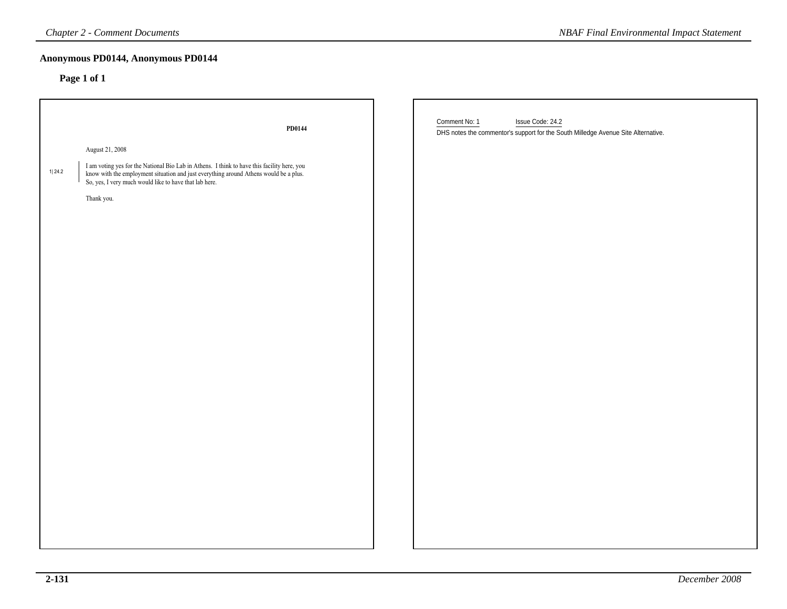# **Anonymous PD0144, Anonymous PD0144**

|        | <b>Chapter 2 - Comment Documents</b>                                                                                                                                                                                                           | <b>NBAF Final Environmental Impact Statement</b>                                                                       |  |
|--------|------------------------------------------------------------------------------------------------------------------------------------------------------------------------------------------------------------------------------------------------|------------------------------------------------------------------------------------------------------------------------|--|
|        | Anonymous PD0144, Anonymous PD0144<br>Page 1 of 1                                                                                                                                                                                              |                                                                                                                        |  |
|        | PD0144                                                                                                                                                                                                                                         | Comment No: 1<br>Issue Code: 24.2<br>DHS notes the commentor's support for the South Milledge Avenue Site Alternative. |  |
|        | August 21, 2008                                                                                                                                                                                                                                |                                                                                                                        |  |
| 1 24.2 | I am voting yes for the National Bio Lab in Athens. I think to have this facility here, you<br>know with the employment situation and just everything around Athens would be a plus.<br>So, yes, I very much would like to have that lab here. |                                                                                                                        |  |
|        | Thank you.                                                                                                                                                                                                                                     |                                                                                                                        |  |
|        |                                                                                                                                                                                                                                                |                                                                                                                        |  |
|        |                                                                                                                                                                                                                                                |                                                                                                                        |  |
|        |                                                                                                                                                                                                                                                |                                                                                                                        |  |
|        |                                                                                                                                                                                                                                                |                                                                                                                        |  |
|        |                                                                                                                                                                                                                                                |                                                                                                                        |  |
|        |                                                                                                                                                                                                                                                |                                                                                                                        |  |
|        |                                                                                                                                                                                                                                                |                                                                                                                        |  |
|        |                                                                                                                                                                                                                                                |                                                                                                                        |  |
|        |                                                                                                                                                                                                                                                |                                                                                                                        |  |
|        |                                                                                                                                                                                                                                                |                                                                                                                        |  |
|        |                                                                                                                                                                                                                                                |                                                                                                                        |  |
|        |                                                                                                                                                                                                                                                |                                                                                                                        |  |
|        |                                                                                                                                                                                                                                                |                                                                                                                        |  |
|        |                                                                                                                                                                                                                                                |                                                                                                                        |  |
|        |                                                                                                                                                                                                                                                |                                                                                                                        |  |
|        |                                                                                                                                                                                                                                                |                                                                                                                        |  |
|        |                                                                                                                                                                                                                                                |                                                                                                                        |  |
|        |                                                                                                                                                                                                                                                |                                                                                                                        |  |
|        |                                                                                                                                                                                                                                                |                                                                                                                        |  |
|        |                                                                                                                                                                                                                                                |                                                                                                                        |  |
|        |                                                                                                                                                                                                                                                |                                                                                                                        |  |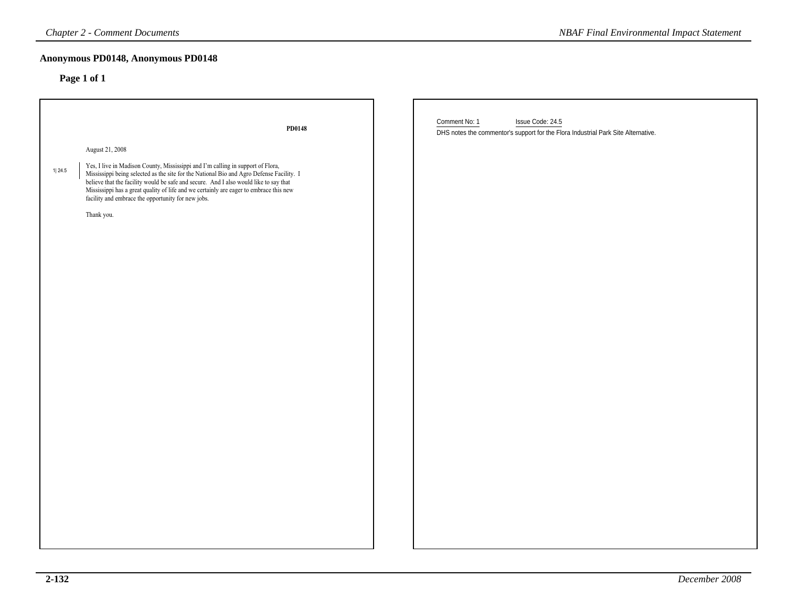# **Anonymous PD0148, Anonymous PD0148**

| <b>Chapter 2 - Comment Documents</b>                                                                                                                                                                                                                                                                                                                                                                                                                      | <b>NBAF Final Environmental Impact Statement</b>                                                                       |
|-----------------------------------------------------------------------------------------------------------------------------------------------------------------------------------------------------------------------------------------------------------------------------------------------------------------------------------------------------------------------------------------------------------------------------------------------------------|------------------------------------------------------------------------------------------------------------------------|
| Anonymous PD0148, Anonymous PD0148<br>Page 1 of 1                                                                                                                                                                                                                                                                                                                                                                                                         |                                                                                                                        |
| PD0148                                                                                                                                                                                                                                                                                                                                                                                                                                                    | Comment No: 1<br>Issue Code: 24.5<br>DHS notes the commentor's support for the Flora Industrial Park Site Alternative. |
| August 21, 2008<br>Yes, I live in Madison County, Mississippi and I'm calling in support of Flora,<br>1 24.5<br>Mississippi being selected as the site for the National Bio and Agro Defense Facility. I believe that the facility would be safe and secure. And I also would like to say that<br>Mississippi has a great quality of life and we certainly are eager to embrace this new facility and embrace the opportunity for new jobs.<br>Thank you. |                                                                                                                        |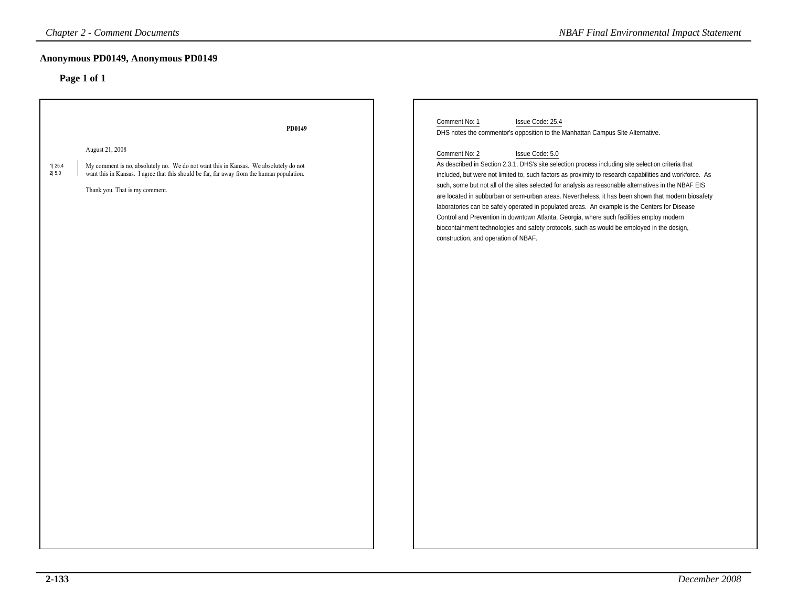# **Anonymous PD0149, Anonymous PD0149**

| <b>Chapter 2 - Comment Documents</b>                                                                                                                                                                                                                      | <b>NBAF Final Environmental Impact Statement</b>                                                                                                                                                                                                                                                                                                                                                                                                                                                                                                                                                                                                                                                                                                                                                   |
|-----------------------------------------------------------------------------------------------------------------------------------------------------------------------------------------------------------------------------------------------------------|----------------------------------------------------------------------------------------------------------------------------------------------------------------------------------------------------------------------------------------------------------------------------------------------------------------------------------------------------------------------------------------------------------------------------------------------------------------------------------------------------------------------------------------------------------------------------------------------------------------------------------------------------------------------------------------------------------------------------------------------------------------------------------------------------|
| Anonymous PD0149, Anonymous PD0149                                                                                                                                                                                                                        |                                                                                                                                                                                                                                                                                                                                                                                                                                                                                                                                                                                                                                                                                                                                                                                                    |
| Page 1 of 1                                                                                                                                                                                                                                               |                                                                                                                                                                                                                                                                                                                                                                                                                                                                                                                                                                                                                                                                                                                                                                                                    |
| PD0149                                                                                                                                                                                                                                                    | Comment No: 1<br>Issue Code: 25.4<br>DHS notes the commentor's opposition to the Manhattan Campus Site Alternative.                                                                                                                                                                                                                                                                                                                                                                                                                                                                                                                                                                                                                                                                                |
| August 21, 2008<br>1 25.4<br>My comment is no, absolutely no. We do not want this in Kansas. We absolutely do not<br>2 5.0<br>want this in Kansas. I agree that this should be far, far away from the human population.<br>Thank you. That is my comment. | Comment No: 2<br>Issue Code: 5.0<br>As described in Section 2.3.1, DHS's site selection process including site selection criteria that<br>included, but were not limited to, such factors as proximity to research capabilities and workforce. As<br>such, some but not all of the sites selected for analysis as reasonable alternatives in the NBAF EIS<br>are located in subburban or sem-urban areas. Nevertheless, it has been shown that modern biosafety<br>laboratories can be safely operated in populated areas. An example is the Centers for Disease<br>Control and Prevention in downtown Atlanta, Georgia, where such facilities employ modern<br>biocontainment technologies and safety protocols, such as would be employed in the design,<br>construction, and operation of NBAF. |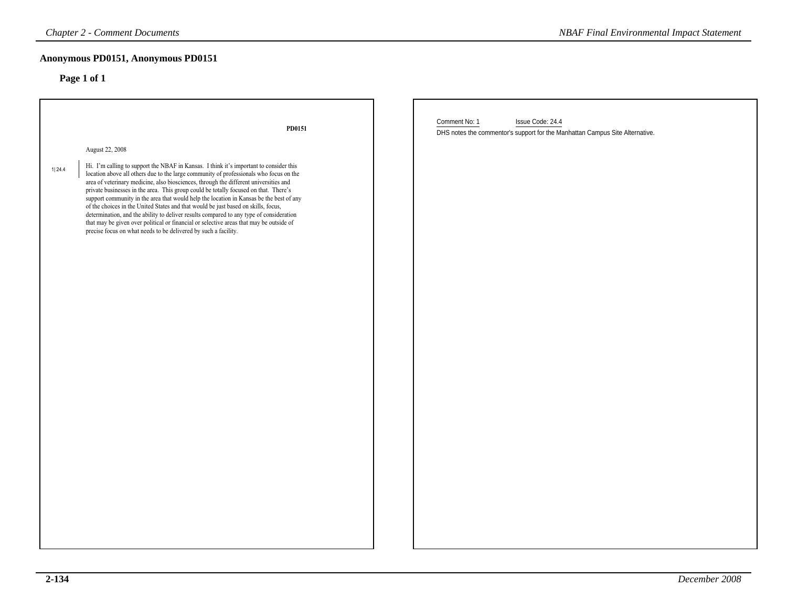# **Anonymous PD0151, Anonymous PD0151**

| <b>Chapter 2 - Comment Documents</b>                                                                                                                                                                                                                                                                                                                                                                                                                                                                                                                                                                                                                                                                                                                                                                     | <b>NBAF Final Environmental Impact Statement</b>                                                                  |
|----------------------------------------------------------------------------------------------------------------------------------------------------------------------------------------------------------------------------------------------------------------------------------------------------------------------------------------------------------------------------------------------------------------------------------------------------------------------------------------------------------------------------------------------------------------------------------------------------------------------------------------------------------------------------------------------------------------------------------------------------------------------------------------------------------|-------------------------------------------------------------------------------------------------------------------|
| Anonymous PD0151, Anonymous PD0151                                                                                                                                                                                                                                                                                                                                                                                                                                                                                                                                                                                                                                                                                                                                                                       |                                                                                                                   |
|                                                                                                                                                                                                                                                                                                                                                                                                                                                                                                                                                                                                                                                                                                                                                                                                          |                                                                                                                   |
| PD0151                                                                                                                                                                                                                                                                                                                                                                                                                                                                                                                                                                                                                                                                                                                                                                                                   | Comment No: 1<br>Issue Code: 24.4<br>DHS notes the commentor's support for the Manhattan Campus Site Alternative. |
| August 22, 2008                                                                                                                                                                                                                                                                                                                                                                                                                                                                                                                                                                                                                                                                                                                                                                                          |                                                                                                                   |
| Hi. I'm calling to support the NBAF in Kansas. I think it's important to consider this<br>location above all others due to the large community of professionals who focus on the<br>area of veterinary medicine, also biosciences, through the different universities and<br>private businesses in the area. This group could be totally focused on that. There's support community in the area that would help the location in Kansas be the best of any<br>of the choices in the United States and that would be just based on skills, focus,<br>determination, and the ability to deliver results compared to any type of consideration<br>that may be given over political or financial or selective areas that may be outside of<br>precise focus on what needs to be delivered by such a facility. |                                                                                                                   |
|                                                                                                                                                                                                                                                                                                                                                                                                                                                                                                                                                                                                                                                                                                                                                                                                          |                                                                                                                   |
|                                                                                                                                                                                                                                                                                                                                                                                                                                                                                                                                                                                                                                                                                                                                                                                                          | Page 1 of 1                                                                                                       |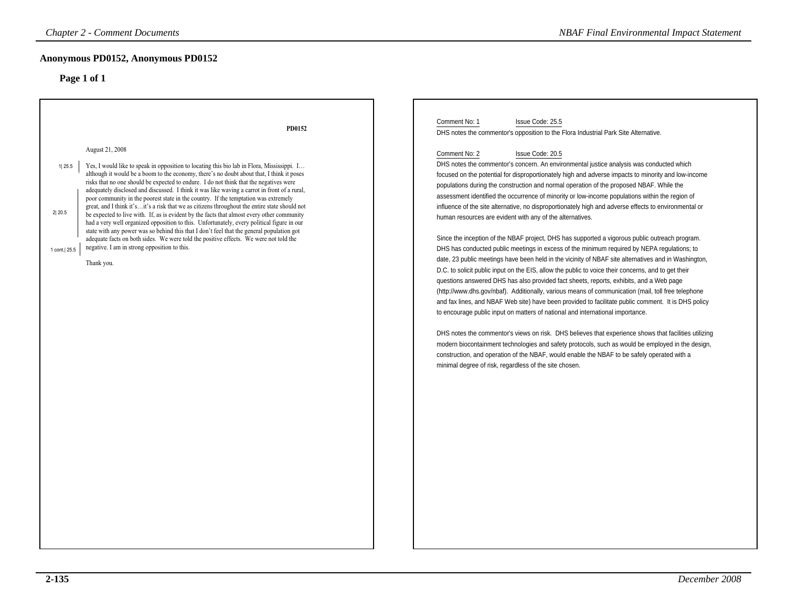| <b>Chapter 2 - Comment Documents</b>                                                                                                                                                                                                                                                                                                                                                                                                                                                                                                                                                                                                                                                                                                                                                                                                                                                                                                                                                                                                                                                       | <b>NBAF Final Environmental Impact Statement</b>                                                                                                                                                                                                                                                                                                                                                                                                                                                                                                                                                                                                                                                                                                                                                                                                                                                                                                                                                                                                                                                                                                                                                                                                                                                                                                                                                                                                                                                                                                                                                                                                                                                                                                                                                                                                                                                                       |
|--------------------------------------------------------------------------------------------------------------------------------------------------------------------------------------------------------------------------------------------------------------------------------------------------------------------------------------------------------------------------------------------------------------------------------------------------------------------------------------------------------------------------------------------------------------------------------------------------------------------------------------------------------------------------------------------------------------------------------------------------------------------------------------------------------------------------------------------------------------------------------------------------------------------------------------------------------------------------------------------------------------------------------------------------------------------------------------------|------------------------------------------------------------------------------------------------------------------------------------------------------------------------------------------------------------------------------------------------------------------------------------------------------------------------------------------------------------------------------------------------------------------------------------------------------------------------------------------------------------------------------------------------------------------------------------------------------------------------------------------------------------------------------------------------------------------------------------------------------------------------------------------------------------------------------------------------------------------------------------------------------------------------------------------------------------------------------------------------------------------------------------------------------------------------------------------------------------------------------------------------------------------------------------------------------------------------------------------------------------------------------------------------------------------------------------------------------------------------------------------------------------------------------------------------------------------------------------------------------------------------------------------------------------------------------------------------------------------------------------------------------------------------------------------------------------------------------------------------------------------------------------------------------------------------------------------------------------------------------------------------------------------------|
| Anonymous PD0152, Anonymous PD0152<br>Page 1 of 1                                                                                                                                                                                                                                                                                                                                                                                                                                                                                                                                                                                                                                                                                                                                                                                                                                                                                                                                                                                                                                          |                                                                                                                                                                                                                                                                                                                                                                                                                                                                                                                                                                                                                                                                                                                                                                                                                                                                                                                                                                                                                                                                                                                                                                                                                                                                                                                                                                                                                                                                                                                                                                                                                                                                                                                                                                                                                                                                                                                        |
| PD0152<br>August 21, 2008<br>Yes, I would like to speak in opposition to locating this bio lab in Flora, Mississippi. I<br>1 25.5<br>although it would be a boom to the economy, there's no doubt about that, I think it poses<br>risks that no one should be expected to endure. I do not think that the negatives were<br>adequately disclosed and discussed. I think it was like waving a carrot in front of a rural,<br>poor community in the poorest state in the country. If the temptation was extremely<br>great, and I think it'sit's a risk that we as citizens throughout the entire state should not<br>2 20.5<br>be expected to live with. If, as is evident by the facts that almost every other community<br>had a very well organized opposition to this. Unfortunately, every political figure in our<br>state with any power was so behind this that I don't feel that the general population got<br>adequate facts on both sides. We were told the positive effects. We were not told the<br>negative. I am in strong opposition to this.<br>1 cont. 25.5<br>Thank you. | Comment No: 1<br>Issue Code: 25.5<br>DHS notes the commentor's opposition to the Flora Industrial Park Site Alternative.<br>Comment No: 2<br>Issue Code: 20.5<br>DHS notes the commentor's concern. An environmental justice analysis was conducted which<br>focused on the potential for disproportionately high and adverse impacts to minority and low-income<br>populations during the construction and normal operation of the proposed NBAF. While the<br>assessment identified the occurrence of minority or low-income populations within the region of<br>influence of the site alternative, no disproportionately high and adverse effects to environmental or<br>human resources are evident with any of the alternatives.<br>Since the inception of the NBAF project, DHS has supported a vigorous public outreach program.<br>DHS has conducted public meetings in excess of the minimum required by NEPA regulations; to<br>date, 23 public meetings have been held in the vicinity of NBAF site alternatives and in Washington,<br>D.C. to solicit public input on the EIS, allow the public to voice their concerns, and to get their<br>questions answered DHS has also provided fact sheets, reports, exhibits, and a Web page<br>(http://www.dhs.gov/nbaf). Additionally, various means of communication (mail, toll free telephone<br>and fax lines, and NBAF Web site) have been provided to facilitate public comment. It is DHS policy<br>to encourage public input on matters of national and international importance.<br>DHS notes the commentor's views on risk. DHS believes that experience shows that facilities utilizing<br>modern biocontainment technologies and safety protocols, such as would be employed in the design,<br>construction, and operation of the NBAF, would enable the NBAF to be safely operated with a<br>minimal degree of risk, regardless of the site chosen. |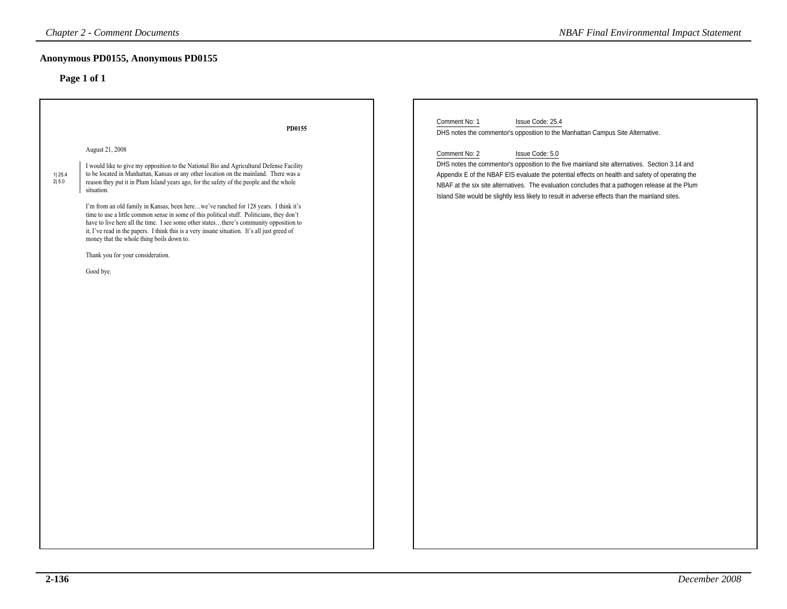# **Anonymous PD0155, Anonymous PD0155**

| <b>Chapter 2 - Comment Documents</b>                                                                                                                                                                                                                                                                                                                                                                                                                                                                                                                                                                                                                                                                                                                                                         | <b>NBAF Final Environmental Impact Statement</b>                                                                                                                                                                                                                                                                                                                                                                                           |
|----------------------------------------------------------------------------------------------------------------------------------------------------------------------------------------------------------------------------------------------------------------------------------------------------------------------------------------------------------------------------------------------------------------------------------------------------------------------------------------------------------------------------------------------------------------------------------------------------------------------------------------------------------------------------------------------------------------------------------------------------------------------------------------------|--------------------------------------------------------------------------------------------------------------------------------------------------------------------------------------------------------------------------------------------------------------------------------------------------------------------------------------------------------------------------------------------------------------------------------------------|
| Anonymous PD0155, Anonymous PD0155<br>Page 1 of 1                                                                                                                                                                                                                                                                                                                                                                                                                                                                                                                                                                                                                                                                                                                                            |                                                                                                                                                                                                                                                                                                                                                                                                                                            |
| PD0155                                                                                                                                                                                                                                                                                                                                                                                                                                                                                                                                                                                                                                                                                                                                                                                       | Comment No: 1<br>Issue Code: 25.4<br>DHS notes the commentor's opposition to the Manhattan Campus Site Alternative.                                                                                                                                                                                                                                                                                                                        |
| August 21, 2008<br>I would like to give my opposition to the National Bio and Agricultural Defense Facility<br>to be located in Manhattan, Kansas or any other location on the mainland. There was a<br>reason they put it in Plum Island years ago, for the safety of the people and the whole<br>situation.<br>I'm from an old family in Kansas, been herewe've ranched for 128 years. I think it's<br>time to use a little common sense in some of this political stuff. Politicians, they don't<br>have to live here all the time. I see some other statesthere's community opposition to<br>it, I've read in the papers. I think this is a very insane situation. It's all just greed of<br>money that the whole thing boils down to.<br>Thank you for your consideration.<br>Good bye. | Comment No: 2<br>Issue Code: 5.0<br>DHS notes the commentor's opposition to the five mainland site alternatives. Section 3.14 and<br>Appendix E of the NBAF EIS evaluate the potential effects on health and safety of operating the<br>NBAF at the six site alternatives. The evaluation concludes that a pathogen release at the Plum<br>Island Site would be slightly less likely to result in adverse effects than the mainland sites. |
|                                                                                                                                                                                                                                                                                                                                                                                                                                                                                                                                                                                                                                                                                                                                                                                              |                                                                                                                                                                                                                                                                                                                                                                                                                                            |
|                                                                                                                                                                                                                                                                                                                                                                                                                                                                                                                                                                                                                                                                                                                                                                                              |                                                                                                                                                                                                                                                                                                                                                                                                                                            |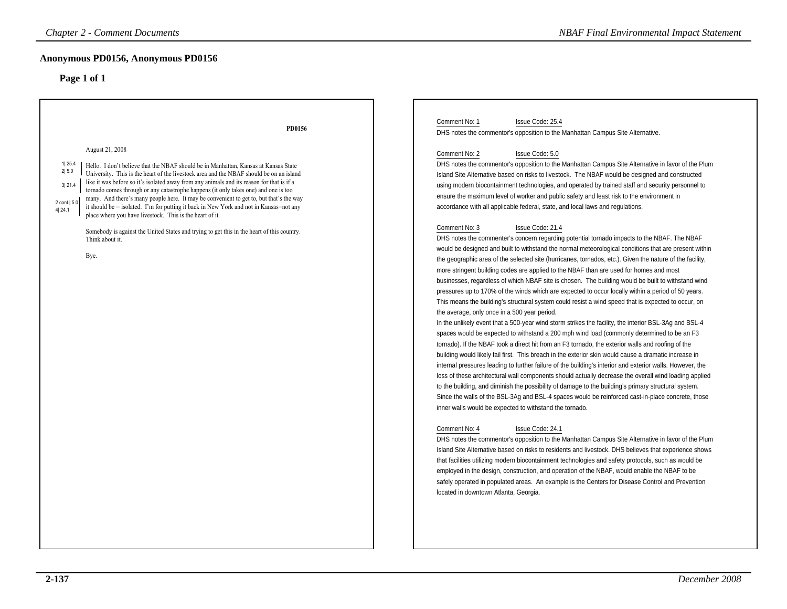| <b>Chapter 2 - Comment Documents</b>                                                                                                                                                                                                                                                                                                                                                                                                                                                                                                                                                                                                                                                                                                                                                                                             | <b>NBAF Final Environmental Impact Statement</b>                                                                                                                                                                                                                                                                                                                                                                                                                                                                                                                                                                                                                                                                                                                                                                                                                                                                                                                                                                                                                                                                                                                                                                                                                                                                                                                                                                                                                                                                                                                                                                                                                                                                                                                                                                                                                                                                                                                                                                                                                                                                                                                                                                                                                                                                                                                                                                                                                                                                                                                                                                                                                                                                                                                                                                                                                                                                                                                                                      |
|----------------------------------------------------------------------------------------------------------------------------------------------------------------------------------------------------------------------------------------------------------------------------------------------------------------------------------------------------------------------------------------------------------------------------------------------------------------------------------------------------------------------------------------------------------------------------------------------------------------------------------------------------------------------------------------------------------------------------------------------------------------------------------------------------------------------------------|-------------------------------------------------------------------------------------------------------------------------------------------------------------------------------------------------------------------------------------------------------------------------------------------------------------------------------------------------------------------------------------------------------------------------------------------------------------------------------------------------------------------------------------------------------------------------------------------------------------------------------------------------------------------------------------------------------------------------------------------------------------------------------------------------------------------------------------------------------------------------------------------------------------------------------------------------------------------------------------------------------------------------------------------------------------------------------------------------------------------------------------------------------------------------------------------------------------------------------------------------------------------------------------------------------------------------------------------------------------------------------------------------------------------------------------------------------------------------------------------------------------------------------------------------------------------------------------------------------------------------------------------------------------------------------------------------------------------------------------------------------------------------------------------------------------------------------------------------------------------------------------------------------------------------------------------------------------------------------------------------------------------------------------------------------------------------------------------------------------------------------------------------------------------------------------------------------------------------------------------------------------------------------------------------------------------------------------------------------------------------------------------------------------------------------------------------------------------------------------------------------------------------------------------------------------------------------------------------------------------------------------------------------------------------------------------------------------------------------------------------------------------------------------------------------------------------------------------------------------------------------------------------------------------------------------------------------------------------------------------------------|
| Anonymous PD0156, Anonymous PD0156<br>Page 1 of 1                                                                                                                                                                                                                                                                                                                                                                                                                                                                                                                                                                                                                                                                                                                                                                                |                                                                                                                                                                                                                                                                                                                                                                                                                                                                                                                                                                                                                                                                                                                                                                                                                                                                                                                                                                                                                                                                                                                                                                                                                                                                                                                                                                                                                                                                                                                                                                                                                                                                                                                                                                                                                                                                                                                                                                                                                                                                                                                                                                                                                                                                                                                                                                                                                                                                                                                                                                                                                                                                                                                                                                                                                                                                                                                                                                                                       |
| PD0156<br>August 21, 2008<br>1 25.4<br>Hello. I don't believe that the NBAF should be in Manhattan, Kansas at Kansas State<br>2 5.0<br>University. This is the heart of the livestock area and the NBAF should be on an island<br>like it was before so it's isolated away from any animals and its reason for that is if a<br>3 21.4<br>tornado comes through or any catastrophe happens (it only takes one) and one is too<br>many. And there's many people here. It may be convenient to get to, but that's the way<br>2 cont.   5.0<br>it should be - isolated. I'm for putting it back in New York and not in Kansas-not any<br>4 24.1<br>place where you have livestock. This is the heart of it.<br>Somebody is against the United States and trying to get this in the heart of this country.<br>Think about it.<br>Bye. | Comment No: 1<br>Issue Code: 25.4<br>DHS notes the commentor's opposition to the Manhattan Campus Site Alternative.<br>Comment No: 2<br>Issue Code: 5.0<br>DHS notes the commentor's opposition to the Manhattan Campus Site Alternative in favor of the Plum<br>Island Site Alternative based on risks to livestock. The NBAF would be designed and constructed<br>using modern biocontainment technologies, and operated by trained staff and security personnel to<br>ensure the maximum level of worker and public safety and least risk to the environment in<br>accordance with all applicable federal, state, and local laws and regulations.<br>Comment No: 3<br>Issue Code: 21.4<br>DHS notes the commenter's concern regarding potential tornado impacts to the NBAF. The NBAF<br>would be designed and built to withstand the normal meteorological conditions that are present within<br>the geographic area of the selected site (hurricanes, tornados, etc.). Given the nature of the facility,<br>more stringent building codes are applied to the NBAF than are used for homes and most<br>businesses, regardless of which NBAF site is chosen. The building would be built to withstand wind<br>pressures up to 170% of the winds which are expected to occur locally within a period of 50 years.<br>This means the building's structural system could resist a wind speed that is expected to occur, on<br>the average, only once in a 500 year period.<br>In the unlikely event that a 500-year wind storm strikes the facility, the interior BSL-3Ag and BSL-4<br>spaces would be expected to withstand a 200 mph wind load (commonly determined to be an F3<br>tornado). If the NBAF took a direct hit from an F3 tornado, the exterior walls and roofing of the<br>building would likely fail first. This breach in the exterior skin would cause a dramatic increase in<br>internal pressures leading to further failure of the building's interior and exterior walls. However, the<br>loss of these architectural wall components should actually decrease the overall wind loading applied<br>to the building, and diminish the possibility of damage to the building's primary structural system.<br>Since the walls of the BSL-3Ag and BSL-4 spaces would be reinforced cast-in-place concrete, those<br>inner walls would be expected to withstand the tornado.<br>Comment No: 4<br>Issue Code: 24.1<br>DHS notes the commentor's opposition to the Manhattan Campus Site Alternative in favor of the Plum<br>Island Site Alternative based on risks to residents and livestock. DHS believes that experience shows<br>that facilities utilizing modern biocontainment technologies and safety protocols, such as would be<br>employed in the design, construction, and operation of the NBAF, would enable the NBAF to be<br>safely operated in populated areas. An example is the Centers for Disease Control and Prevention<br>located in downtown Atlanta, Georgia. |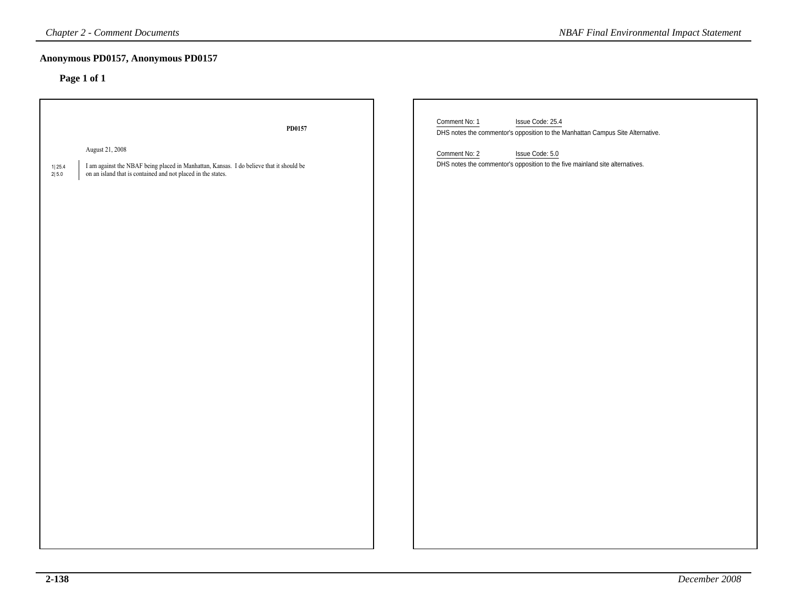# **Anonymous PD0157, Anonymous PD0157**

| <b>Chapter 2 - Comment Documents</b><br><b>NBAF Final Environmental Impact Statement</b>                                                                                                      |                       |                                                                                                                                                                                                                                         |
|-----------------------------------------------------------------------------------------------------------------------------------------------------------------------------------------------|-----------------------|-----------------------------------------------------------------------------------------------------------------------------------------------------------------------------------------------------------------------------------------|
| Anonymous PD0157, Anonymous PD0157<br>Page 1 of 1                                                                                                                                             |                       |                                                                                                                                                                                                                                         |
| August 21, 2008<br>I am against the NBAF being placed in Manhattan, Kansas. I do believe that it should be<br>1 25.4<br>on an island that is contained and not placed in the states.<br>2 5.0 | ${\bf P} {\bf D0157}$ | Comment No: 1<br>Issue Code: 25.4<br>DHS notes the commentor's opposition to the Manhattan Campus Site Alternative.<br>Issue Code: 5.0<br>Comment No: 2<br>DHS notes the commentor's opposition to the five mainland site alternatives. |
|                                                                                                                                                                                               |                       |                                                                                                                                                                                                                                         |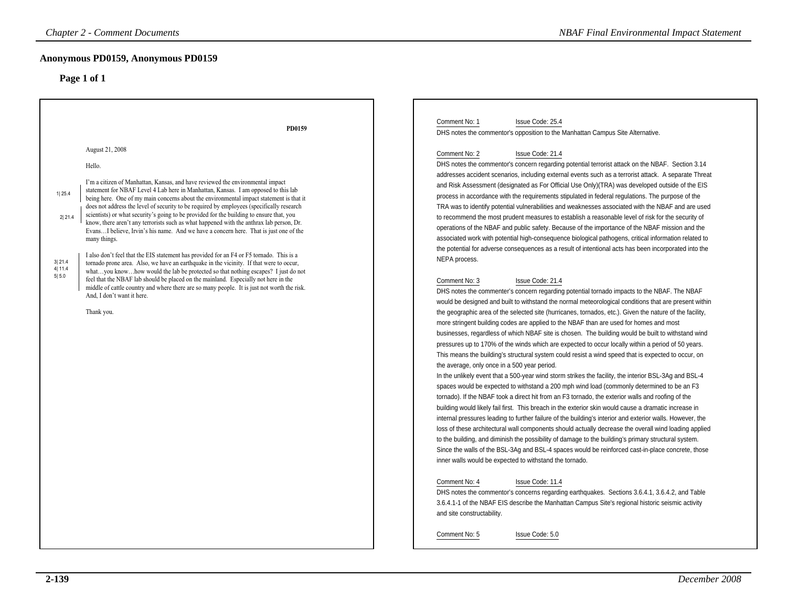# **Anonymous PD0159, Anonymous PD0159**

| <b>Chapter 2 - Comment Documents</b>                                                                                                                                                                                                                                                                                                                                                                                                                                                                                                                                                                                                                                                                                                                                                                                                                                                                                                                                                                                                                                                                                                                                                                                                                                | <b>NBAF Final Environmental Impact Statement</b>                                                                                                                                                                                                                                                                                                                                                                                                                                                                                                                                                                                                                                                                                                                                                                                                                                                                                                                                                                                                                                                                                                                                                                                                                                                                                                                                                                                                                                                                                                                                                                                                                                                                                                                                                                                                                                                                                                                                                                                                                                                                                                                                                                                                                                                                                                                                                                                                                                                                                                                                                                                                                                                                                                                                                                                                                                                               |
|---------------------------------------------------------------------------------------------------------------------------------------------------------------------------------------------------------------------------------------------------------------------------------------------------------------------------------------------------------------------------------------------------------------------------------------------------------------------------------------------------------------------------------------------------------------------------------------------------------------------------------------------------------------------------------------------------------------------------------------------------------------------------------------------------------------------------------------------------------------------------------------------------------------------------------------------------------------------------------------------------------------------------------------------------------------------------------------------------------------------------------------------------------------------------------------------------------------------------------------------------------------------|----------------------------------------------------------------------------------------------------------------------------------------------------------------------------------------------------------------------------------------------------------------------------------------------------------------------------------------------------------------------------------------------------------------------------------------------------------------------------------------------------------------------------------------------------------------------------------------------------------------------------------------------------------------------------------------------------------------------------------------------------------------------------------------------------------------------------------------------------------------------------------------------------------------------------------------------------------------------------------------------------------------------------------------------------------------------------------------------------------------------------------------------------------------------------------------------------------------------------------------------------------------------------------------------------------------------------------------------------------------------------------------------------------------------------------------------------------------------------------------------------------------------------------------------------------------------------------------------------------------------------------------------------------------------------------------------------------------------------------------------------------------------------------------------------------------------------------------------------------------------------------------------------------------------------------------------------------------------------------------------------------------------------------------------------------------------------------------------------------------------------------------------------------------------------------------------------------------------------------------------------------------------------------------------------------------------------------------------------------------------------------------------------------------------------------------------------------------------------------------------------------------------------------------------------------------------------------------------------------------------------------------------------------------------------------------------------------------------------------------------------------------------------------------------------------------------------------------------------------------------------------------------------------------|
| Anonymous PD0159, Anonymous PD0159<br>Page 1 of 1                                                                                                                                                                                                                                                                                                                                                                                                                                                                                                                                                                                                                                                                                                                                                                                                                                                                                                                                                                                                                                                                                                                                                                                                                   |                                                                                                                                                                                                                                                                                                                                                                                                                                                                                                                                                                                                                                                                                                                                                                                                                                                                                                                                                                                                                                                                                                                                                                                                                                                                                                                                                                                                                                                                                                                                                                                                                                                                                                                                                                                                                                                                                                                                                                                                                                                                                                                                                                                                                                                                                                                                                                                                                                                                                                                                                                                                                                                                                                                                                                                                                                                                                                                |
| PD0159<br>August 21, 2008<br>Hello.<br>I'm a citizen of Manhattan, Kansas, and have reviewed the environmental impact<br>statement for NBAF Level 4 Lab here in Manhattan, Kansas. I am opposed to this lab<br>1125.4<br>being here. One of my main concerns about the environmental impact statement is that it<br>does not address the level of security to be required by employees (specifically research<br>scientists) or what security's going to be provided for the building to ensure that, you<br>2 21.4<br>know, there aren't any terrorists such as what happened with the anthrax lab person, Dr.<br>EvansI believe, Irvin's his name. And we have a concern here. That is just one of the<br>many things.<br>I also don't feel that the EIS statement has provided for an F4 or F5 tornado. This is a<br>3 21.4<br>tornado prone area. Also, we have an earthquake in the vicinity. If that were to occur,<br>4 11.4<br>whatyou knowhow would the lab be protected so that nothing escapes? I just do not<br>5 5.0<br>feel that the NBAF lab should be placed on the mainland. Especially not here in the<br>middle of cattle country and where there are so many people. It is just not worth the risk.<br>And, I don't want it here.<br>Thank you. | Comment No: 1<br>Issue Code: 25.4<br>DHS notes the commentor's opposition to the Manhattan Campus Site Alternative.<br>Comment No: 2<br>Issue Code: 21.4<br>DHS notes the commentor's concern regarding potential terrorist attack on the NBAF. Section 3.14<br>addresses accident scenarios, including external events such as a terrorist attack. A separate Threat<br>and Risk Assessment (designated as For Official Use Only) (TRA) was developed outside of the EIS<br>process in accordance with the requirements stipulated in federal regulations. The purpose of the<br>TRA was to identify potential vulnerabilities and weaknesses associated with the NBAF and are used<br>to recommend the most prudent measures to establish a reasonable level of risk for the security of<br>operations of the NBAF and public safety. Because of the importance of the NBAF mission and the<br>associated work with potential high-consequence biological pathogens, critical information related to<br>the potential for adverse consequences as a result of intentional acts has been incorporated into the<br>NEPA process.<br>Comment No: 3<br>Issue Code: 21.4<br>DHS notes the commenter's concern regarding potential tornado impacts to the NBAF. The NBAF<br>would be designed and built to withstand the normal meteorological conditions that are present within<br>the geographic area of the selected site (hurricanes, tornados, etc.). Given the nature of the facility,<br>more stringent building codes are applied to the NBAF than are used for homes and most<br>businesses, regardless of which NBAF site is chosen. The building would be built to withstand wind<br>pressures up to 170% of the winds which are expected to occur locally within a period of 50 years.<br>This means the building's structural system could resist a wind speed that is expected to occur, on<br>the average, only once in a 500 year period.<br>In the unlikely event that a 500-year wind storm strikes the facility, the interior BSL-3Ag and BSL-4<br>spaces would be expected to withstand a 200 mph wind load (commonly determined to be an F3<br>tornado). If the NBAF took a direct hit from an F3 tornado, the exterior walls and roofing of the<br>building would likely fail first. This breach in the exterior skin would cause a dramatic increase in<br>internal pressures leading to further failure of the building's interior and exterior walls. However, the<br>loss of these architectural wall components should actually decrease the overall wind loading applied<br>to the building, and diminish the possibility of damage to the building's primary structural system.<br>Since the walls of the BSL-3Ag and BSL-4 spaces would be reinforced cast-in-place concrete, those<br>inner walls would be expected to withstand the tornado.<br>Comment No: 4<br>Issue Code: 11.4 |
|                                                                                                                                                                                                                                                                                                                                                                                                                                                                                                                                                                                                                                                                                                                                                                                                                                                                                                                                                                                                                                                                                                                                                                                                                                                                     | DHS notes the commentor's concerns regarding earthquakes. Sections 3.6.4.1, 3.6.4.2, and Table<br>3.6.4.1-1 of the NBAF EIS describe the Manhattan Campus Site's regional historic seismic activity<br>and site constructability.<br>Comment No: 5<br>Issue Code: 5.0                                                                                                                                                                                                                                                                                                                                                                                                                                                                                                                                                                                                                                                                                                                                                                                                                                                                                                                                                                                                                                                                                                                                                                                                                                                                                                                                                                                                                                                                                                                                                                                                                                                                                                                                                                                                                                                                                                                                                                                                                                                                                                                                                                                                                                                                                                                                                                                                                                                                                                                                                                                                                                          |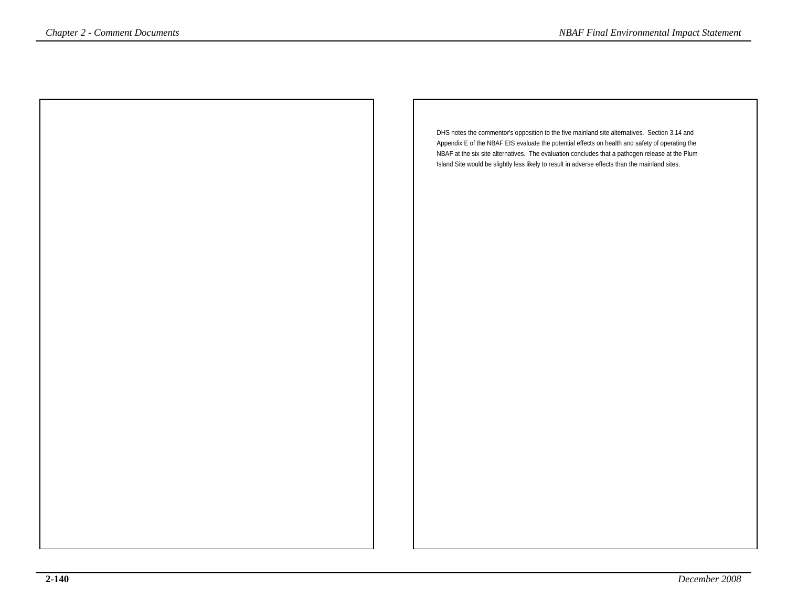DHS notes the commentor's opposition to the five mainland site alternatives. Section 3.14 and Appendix E of the NBAF EIS evaluate the potential effects on health and safety of operating the NBAF at the six site alternatives. The evaluation concludes that a pathogen release at the PlumIsland Site would be slightly less likely to result in adverse effects than the mainland sites.**Chapter 2 - Comment Documents**<br>
DHS notes the commentar's opposition to the five mainland site alternatives. Section 3.14 and<br>
Appendix E of the NBAF EIS evaluation of the interaction and safety of operation 3.14 and<br>
NBA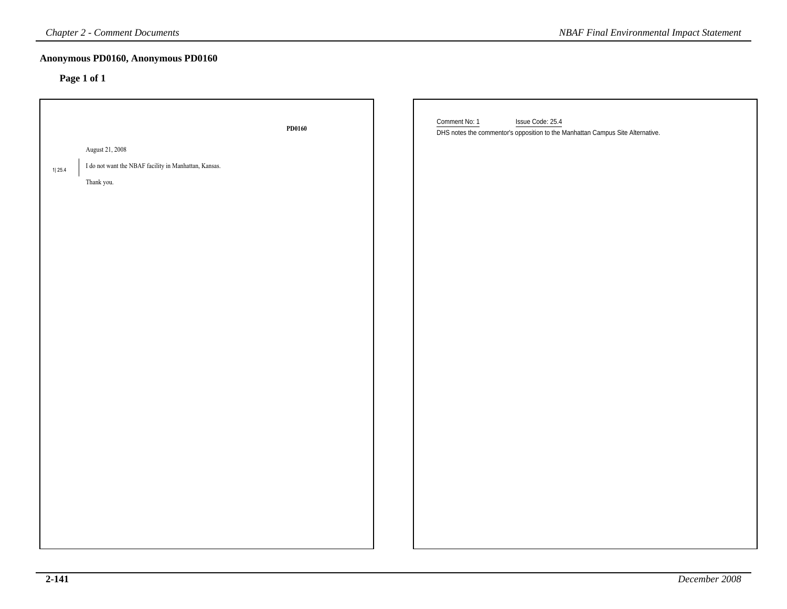# **Anonymous PD0160, Anonymous PD0160**

| Anonymous PD0160, Anonymous PD0160<br>Page 1 of 1<br>Comment No: 1<br>Issue Code: 25.4<br>PD0160<br>DHS notes the commentor's opposition to the Manhattan Campus Site Alternative.<br>August 21, 2008<br>I do not want the NBAF facility in Manhattan, Kansas.<br>1 25.4<br>Thank you. |  |
|----------------------------------------------------------------------------------------------------------------------------------------------------------------------------------------------------------------------------------------------------------------------------------------|--|
|                                                                                                                                                                                                                                                                                        |  |
|                                                                                                                                                                                                                                                                                        |  |
|                                                                                                                                                                                                                                                                                        |  |
|                                                                                                                                                                                                                                                                                        |  |
|                                                                                                                                                                                                                                                                                        |  |
|                                                                                                                                                                                                                                                                                        |  |
|                                                                                                                                                                                                                                                                                        |  |
|                                                                                                                                                                                                                                                                                        |  |
|                                                                                                                                                                                                                                                                                        |  |
|                                                                                                                                                                                                                                                                                        |  |
|                                                                                                                                                                                                                                                                                        |  |
|                                                                                                                                                                                                                                                                                        |  |
|                                                                                                                                                                                                                                                                                        |  |
|                                                                                                                                                                                                                                                                                        |  |
|                                                                                                                                                                                                                                                                                        |  |
|                                                                                                                                                                                                                                                                                        |  |
|                                                                                                                                                                                                                                                                                        |  |
|                                                                                                                                                                                                                                                                                        |  |
|                                                                                                                                                                                                                                                                                        |  |
|                                                                                                                                                                                                                                                                                        |  |
|                                                                                                                                                                                                                                                                                        |  |
|                                                                                                                                                                                                                                                                                        |  |
|                                                                                                                                                                                                                                                                                        |  |
|                                                                                                                                                                                                                                                                                        |  |
|                                                                                                                                                                                                                                                                                        |  |
|                                                                                                                                                                                                                                                                                        |  |
|                                                                                                                                                                                                                                                                                        |  |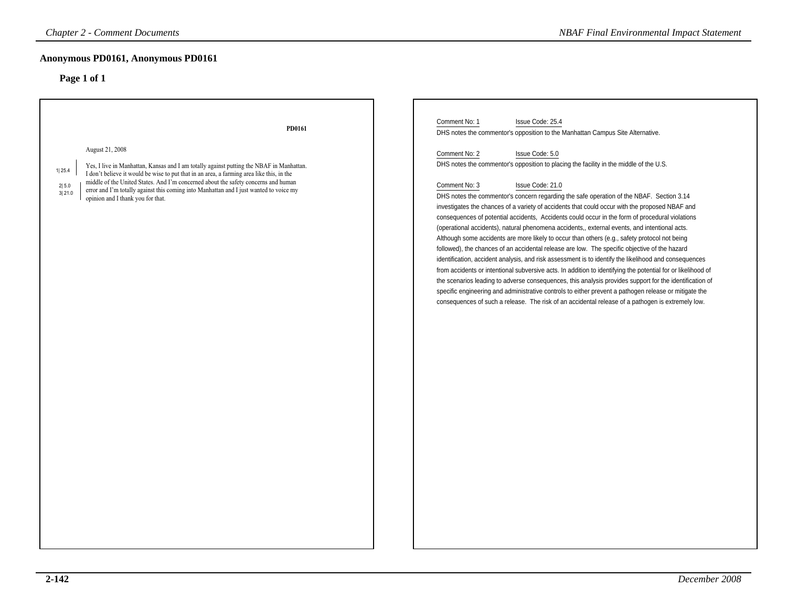| <b>Chapter 2 - Comment Documents</b>                                                                                                                                                                                                                                                                                                                                                                                                                       | <b>NBAF Final Environmental Impact Statement</b>                                                                                                                                                                                                                                                                                                                                                                                                                                                                                                                                                                                                                                                                                                                                                                                                                                                                                                                                                                                                                                                                                                                                                                                                                                                                      |
|------------------------------------------------------------------------------------------------------------------------------------------------------------------------------------------------------------------------------------------------------------------------------------------------------------------------------------------------------------------------------------------------------------------------------------------------------------|-----------------------------------------------------------------------------------------------------------------------------------------------------------------------------------------------------------------------------------------------------------------------------------------------------------------------------------------------------------------------------------------------------------------------------------------------------------------------------------------------------------------------------------------------------------------------------------------------------------------------------------------------------------------------------------------------------------------------------------------------------------------------------------------------------------------------------------------------------------------------------------------------------------------------------------------------------------------------------------------------------------------------------------------------------------------------------------------------------------------------------------------------------------------------------------------------------------------------------------------------------------------------------------------------------------------------|
| Anonymous PD0161, Anonymous PD0161                                                                                                                                                                                                                                                                                                                                                                                                                         |                                                                                                                                                                                                                                                                                                                                                                                                                                                                                                                                                                                                                                                                                                                                                                                                                                                                                                                                                                                                                                                                                                                                                                                                                                                                                                                       |
| Page 1 of 1                                                                                                                                                                                                                                                                                                                                                                                                                                                |                                                                                                                                                                                                                                                                                                                                                                                                                                                                                                                                                                                                                                                                                                                                                                                                                                                                                                                                                                                                                                                                                                                                                                                                                                                                                                                       |
| PD0161                                                                                                                                                                                                                                                                                                                                                                                                                                                     | Comment No: 1<br>Issue Code: 25.4<br>DHS notes the commentor's opposition to the Manhattan Campus Site Alternative.                                                                                                                                                                                                                                                                                                                                                                                                                                                                                                                                                                                                                                                                                                                                                                                                                                                                                                                                                                                                                                                                                                                                                                                                   |
| August 21, 2008<br>Yes, I live in Manhattan, Kansas and I am totally against putting the NBAF in Manhattan.<br>1 25.4<br>I don't believe it would be wise to put that in an area, a farming area like this, in the<br>middle of the United States. And I'm concerned about the safety concerns and human<br>2 5.0<br>error and I'm totally against this coming into Manhattan and I just wanted to voice my<br>3 21.0<br>opinion and I thank you for that. | Comment No: 2<br>Issue Code: 5.0<br>DHS notes the commentor's opposition to placing the facility in the middle of the U.S.<br>Comment No: 3<br>Issue Code: 21.0<br>DHS notes the commentor's concern regarding the safe operation of the NBAF. Section 3.14<br>investigates the chances of a variety of accidents that could occur with the proposed NBAF and<br>consequences of potential accidents, Accidents could occur in the form of procedural violations<br>(operational accidents), natural phenomena accidents,, external events, and intentional acts.<br>Although some accidents are more likely to occur than others (e.g., safety protocol not being<br>followed), the chances of an accidental release are low. The specific objective of the hazard<br>identification, accident analysis, and risk assessment is to identify the likelihood and consequences<br>from accidents or intentional subversive acts. In addition to identifying the potential for or likelihood of<br>the scenarios leading to adverse consequences, this analysis provides support for the identification of<br>specific engineering and administrative controls to either prevent a pathogen release or mitigate the<br>consequences of such a release. The risk of an accidental release of a pathogen is extremely low. |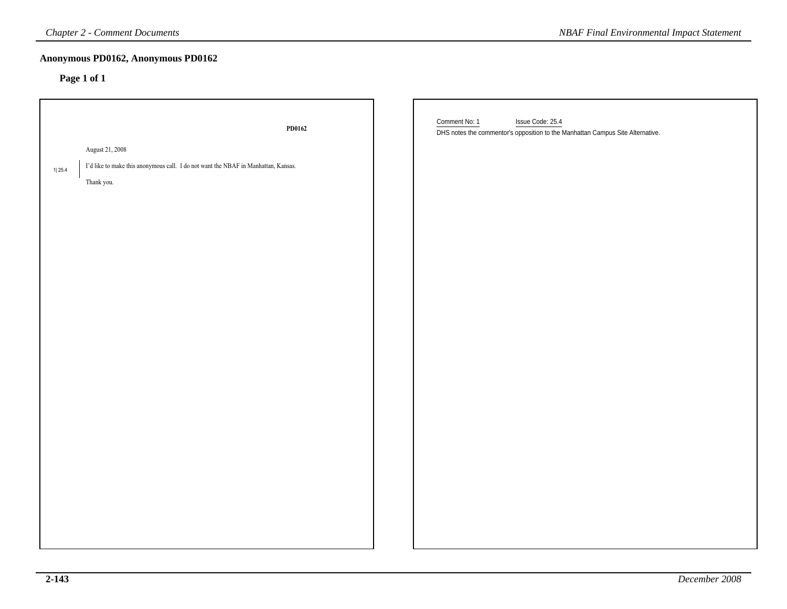# **Anonymous PD0162, Anonymous PD0162**

|        | <b>Chapter 2 - Comment Documents</b>                                               | <b>NBAF Final Environmental Impact Statement</b>                                                                    |
|--------|------------------------------------------------------------------------------------|---------------------------------------------------------------------------------------------------------------------|
|        | Anonymous PD0162, Anonymous PD0162<br>Page 1 of 1                                  |                                                                                                                     |
|        | PD0162                                                                             | Comment No: 1<br>Issue Code: 25.4<br>DHS notes the commentor's opposition to the Manhattan Campus Site Alternative. |
|        | August 21, 2008                                                                    |                                                                                                                     |
| 1 25.4 | I'd like to make this anonymous call. I do not want the NBAF in Manhattan, Kansas. |                                                                                                                     |
|        | Thank you.                                                                         |                                                                                                                     |
|        |                                                                                    |                                                                                                                     |
|        |                                                                                    |                                                                                                                     |
|        |                                                                                    |                                                                                                                     |
|        |                                                                                    |                                                                                                                     |
|        |                                                                                    |                                                                                                                     |
|        |                                                                                    |                                                                                                                     |
|        |                                                                                    |                                                                                                                     |
|        |                                                                                    |                                                                                                                     |
|        |                                                                                    |                                                                                                                     |
|        |                                                                                    |                                                                                                                     |
|        |                                                                                    |                                                                                                                     |
|        |                                                                                    |                                                                                                                     |
|        |                                                                                    |                                                                                                                     |
|        |                                                                                    |                                                                                                                     |
|        |                                                                                    |                                                                                                                     |
|        |                                                                                    |                                                                                                                     |
|        |                                                                                    |                                                                                                                     |
|        |                                                                                    |                                                                                                                     |
|        |                                                                                    |                                                                                                                     |
|        |                                                                                    |                                                                                                                     |
|        |                                                                                    |                                                                                                                     |
|        |                                                                                    |                                                                                                                     |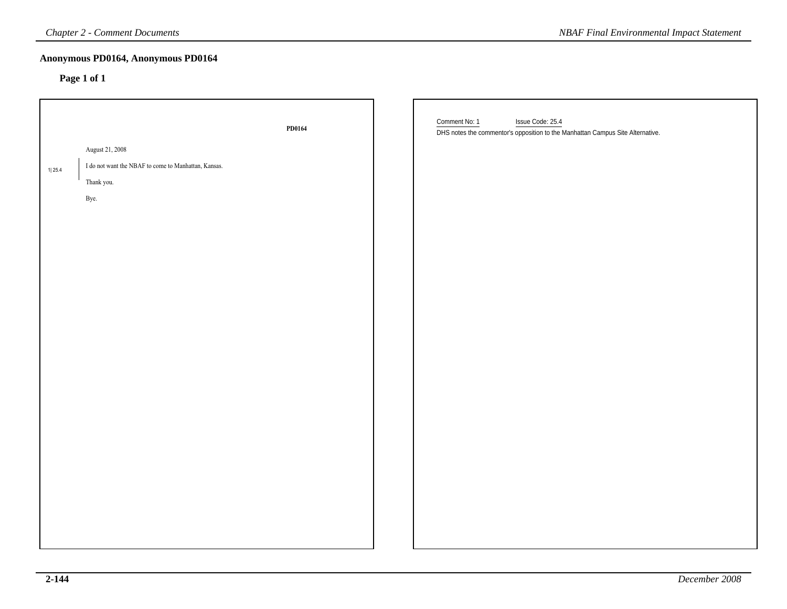# **Anonymous PD0164, Anonymous PD0164**

|        | <b>Chapter 2 - Comment Documents</b>                 |        | <b>NBAF Final Environmental Impact Statement</b>                                                                    |
|--------|------------------------------------------------------|--------|---------------------------------------------------------------------------------------------------------------------|
|        | Anonymous PD0164, Anonymous PD0164<br>Page 1 of 1    |        |                                                                                                                     |
|        |                                                      | PD0164 | Comment No: 1<br>Issue Code: 25.4<br>DHS notes the commentor's opposition to the Manhattan Campus Site Alternative. |
|        | August 21, 2008                                      |        |                                                                                                                     |
| 1 25.4 | I do not want the NBAF to come to Manhattan, Kansas. |        |                                                                                                                     |
|        | Thank you.                                           |        |                                                                                                                     |
|        | Bye.                                                 |        |                                                                                                                     |
|        |                                                      |        |                                                                                                                     |
|        |                                                      |        |                                                                                                                     |
|        |                                                      |        |                                                                                                                     |
|        |                                                      |        |                                                                                                                     |
|        |                                                      |        |                                                                                                                     |
|        |                                                      |        |                                                                                                                     |
|        |                                                      |        |                                                                                                                     |
|        |                                                      |        |                                                                                                                     |
|        |                                                      |        |                                                                                                                     |
|        |                                                      |        |                                                                                                                     |
|        |                                                      |        |                                                                                                                     |
|        |                                                      |        |                                                                                                                     |
|        |                                                      |        |                                                                                                                     |
|        |                                                      |        |                                                                                                                     |
|        |                                                      |        |                                                                                                                     |
|        |                                                      |        |                                                                                                                     |
|        |                                                      |        |                                                                                                                     |
|        |                                                      |        |                                                                                                                     |
|        |                                                      |        |                                                                                                                     |
|        |                                                      |        |                                                                                                                     |
|        |                                                      |        |                                                                                                                     |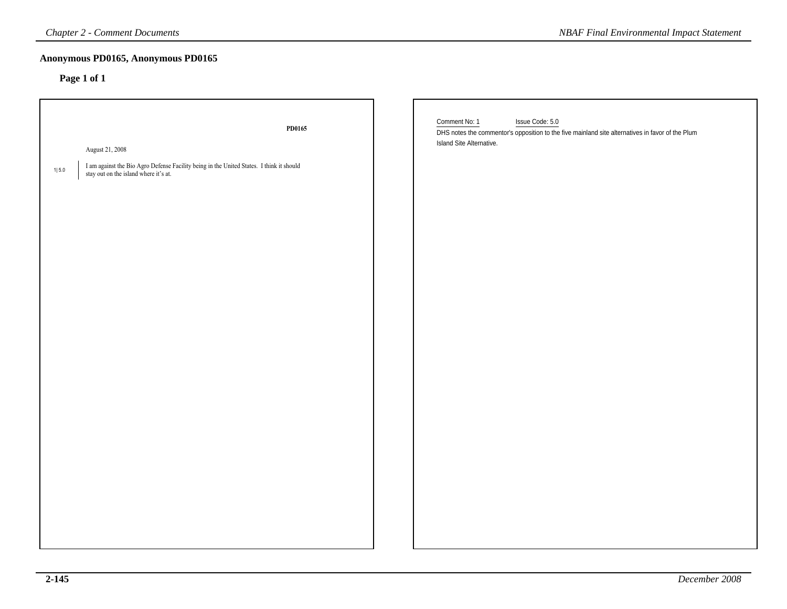| <b>Chapter 2 - Comment Documents</b>                                                                                                                                      | <b>NBAF Final Environmental Impact Statement</b>                                                                                                                 |
|---------------------------------------------------------------------------------------------------------------------------------------------------------------------------|------------------------------------------------------------------------------------------------------------------------------------------------------------------|
| Anonymous PD0165, Anonymous PD0165<br>Page 1 of 1                                                                                                                         |                                                                                                                                                                  |
| PD0165<br>August 21, 2008<br>I am against the Bio Agro Defense Facility being in the United States. I think it should<br>$1 5.0$<br>stay out on the island where it's at. | Comment No: 1<br>Issue Code: 5.0<br>DHS notes the commentor's opposition to the five mainland site alternatives in favor of the Plum<br>Island Site Alternative. |
|                                                                                                                                                                           |                                                                                                                                                                  |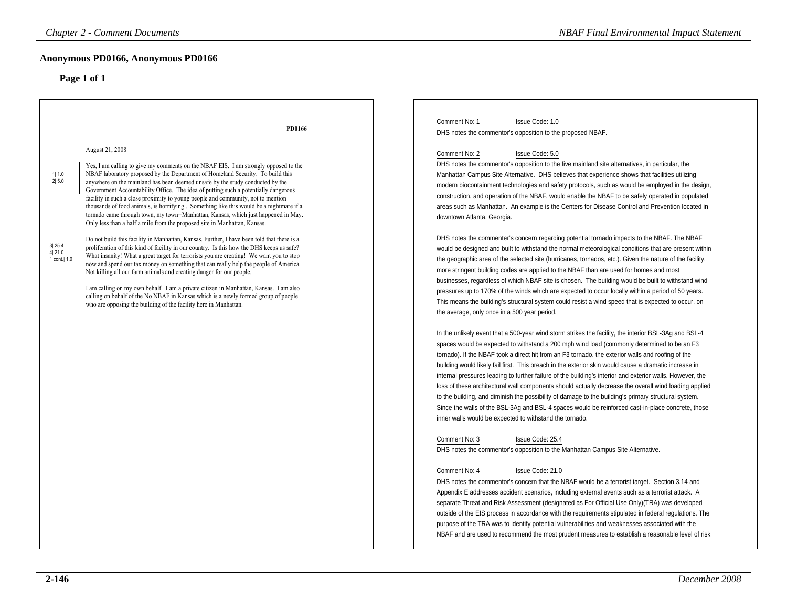| <b>Chapter 2 - Comment Documents</b>                                                                                                                                                                                                                                                                                                                                                                                                                                                                                                                                                                                                                                                                                                                                                                                                                                                                                                                                                                                                                                                                                                                                                                                                                                                                                                                                                                                                                                                        | <b>NBAF Final Environmental Impact Statement</b>                                                                                                                                                                                                                                                                                                                                                                                                                                                                                                                                                                                                                                                                                                                                                                                                                                                                                                                                                                                                                                                                                                                                                                                                                                                                                                                                                                                                                                                                                                                                                                                                                                                                                                                                                                                                                                                                                                                                                                                                                                                                                                                                                                                                                                                                                                                                                                                                                                                                                                                                                                                                                                                                                                                                                                                                                                                                                                                                                                                                                                                                                                                          |
|---------------------------------------------------------------------------------------------------------------------------------------------------------------------------------------------------------------------------------------------------------------------------------------------------------------------------------------------------------------------------------------------------------------------------------------------------------------------------------------------------------------------------------------------------------------------------------------------------------------------------------------------------------------------------------------------------------------------------------------------------------------------------------------------------------------------------------------------------------------------------------------------------------------------------------------------------------------------------------------------------------------------------------------------------------------------------------------------------------------------------------------------------------------------------------------------------------------------------------------------------------------------------------------------------------------------------------------------------------------------------------------------------------------------------------------------------------------------------------------------|---------------------------------------------------------------------------------------------------------------------------------------------------------------------------------------------------------------------------------------------------------------------------------------------------------------------------------------------------------------------------------------------------------------------------------------------------------------------------------------------------------------------------------------------------------------------------------------------------------------------------------------------------------------------------------------------------------------------------------------------------------------------------------------------------------------------------------------------------------------------------------------------------------------------------------------------------------------------------------------------------------------------------------------------------------------------------------------------------------------------------------------------------------------------------------------------------------------------------------------------------------------------------------------------------------------------------------------------------------------------------------------------------------------------------------------------------------------------------------------------------------------------------------------------------------------------------------------------------------------------------------------------------------------------------------------------------------------------------------------------------------------------------------------------------------------------------------------------------------------------------------------------------------------------------------------------------------------------------------------------------------------------------------------------------------------------------------------------------------------------------------------------------------------------------------------------------------------------------------------------------------------------------------------------------------------------------------------------------------------------------------------------------------------------------------------------------------------------------------------------------------------------------------------------------------------------------------------------------------------------------------------------------------------------------------------------------------------------------------------------------------------------------------------------------------------------------------------------------------------------------------------------------------------------------------------------------------------------------------------------------------------------------------------------------------------------------------------------------------------------------------------------------------------------------|
| Anonymous PD0166, Anonymous PD0166<br>Page 1 of 1                                                                                                                                                                                                                                                                                                                                                                                                                                                                                                                                                                                                                                                                                                                                                                                                                                                                                                                                                                                                                                                                                                                                                                                                                                                                                                                                                                                                                                           |                                                                                                                                                                                                                                                                                                                                                                                                                                                                                                                                                                                                                                                                                                                                                                                                                                                                                                                                                                                                                                                                                                                                                                                                                                                                                                                                                                                                                                                                                                                                                                                                                                                                                                                                                                                                                                                                                                                                                                                                                                                                                                                                                                                                                                                                                                                                                                                                                                                                                                                                                                                                                                                                                                                                                                                                                                                                                                                                                                                                                                                                                                                                                                           |
| PD0166<br>August 21, 2008<br>Yes, I am calling to give my comments on the NBAF EIS. I am strongly opposed to the<br>NBAF laboratory proposed by the Department of Homeland Security. To build this<br>1  1.0<br>2 5.0<br>anywhere on the mainland has been deemed unsafe by the study conducted by the<br>Government Accountability Office. The idea of putting such a potentially dangerous<br>facility in such a close proximity to young people and community, not to mention<br>thousands of food animals, is horrifying. Something like this would be a nightmare if a<br>tornado came through town, my town-Manhattan, Kansas, which just happened in May.<br>Only less than a half a mile from the proposed site in Manhattan, Kansas.<br>Do not build this facility in Manhattan, Kansas. Further, I have been told that there is a<br>3 25.4<br>proliferation of this kind of facility in our country. Is this how the DHS keeps us safe?<br>4 21.0<br>What insanity! What a great target for terrorists you are creating! We want you to stop<br>1 cont.   1.0<br>now and spend our tax money on something that can really help the people of America.<br>Not killing all our farm animals and creating danger for our people.<br>I am calling on my own behalf. I am a private citizen in Manhattan, Kansas. I am also<br>calling on behalf of the No NBAF in Kansas which is a newly formed group of people<br>who are opposing the building of the facility here in Manhattan. | Comment No: 1<br>Issue Code: 1.0<br>DHS notes the commentor's opposition to the proposed NBAF.<br>Comment No: 2<br>Issue Code: 5.0<br>DHS notes the commentor's opposition to the five mainland site alternatives, in particular, the<br>Manhattan Campus Site Alternative. DHS believes that experience shows that facilities utilizing<br>modern biocontainment technologies and safety protocols, such as would be employed in the design,<br>construction, and operation of the NBAF, would enable the NBAF to be safely operated in populated<br>areas such as Manhattan. An example is the Centers for Disease Control and Prevention located in<br>downtown Atlanta, Georgia.<br>DHS notes the commenter's concern regarding potential tornado impacts to the NBAF. The NBAF<br>would be designed and built to withstand the normal meteorological conditions that are present within<br>the geographic area of the selected site (hurricanes, tornados, etc.). Given the nature of the facility,<br>more stringent building codes are applied to the NBAF than are used for homes and most<br>businesses, regardless of which NBAF site is chosen. The building would be built to withstand wind<br>pressures up to 170% of the winds which are expected to occur locally within a period of 50 years.<br>This means the building's structural system could resist a wind speed that is expected to occur, on<br>the average, only once in a 500 year period.<br>In the unlikely event that a 500-year wind storm strikes the facility, the interior BSL-3Ag and BSL-4<br>spaces would be expected to withstand a 200 mph wind load (commonly determined to be an F3<br>tornado). If the NBAF took a direct hit from an F3 tornado, the exterior walls and roofing of the<br>building would likely fail first. This breach in the exterior skin would cause a dramatic increase in<br>internal pressures leading to further failure of the building's interior and exterior walls. However, the<br>loss of these architectural wall components should actually decrease the overall wind loading applied<br>to the building, and diminish the possibility of damage to the building's primary structural system.<br>Since the walls of the BSL-3Ag and BSL-4 spaces would be reinforced cast-in-place concrete, those<br>inner walls would be expected to withstand the tornado.<br>Comment No: 3<br>Issue Code: 25.4<br>DHS notes the commentor's opposition to the Manhattan Campus Site Alternative.<br>Comment No: 4<br>Issue Code: 21.0<br>DHS notes the commentor's concern that the NBAF would be a terrorist target. Section 3.14 and<br>Appendix E addresses accident scenarios, including external events such as a terrorist attack. A<br>separate Threat and Risk Assessment (designated as For Official Use Only)(TRA) was developed<br>outside of the EIS process in accordance with the requirements stipulated in federal regulations. The<br>purpose of the TRA was to identify potential vulnerabilities and weaknesses associated with the<br>NBAF and are used to recommend the most prudent measures to establish a reasonable level of risk |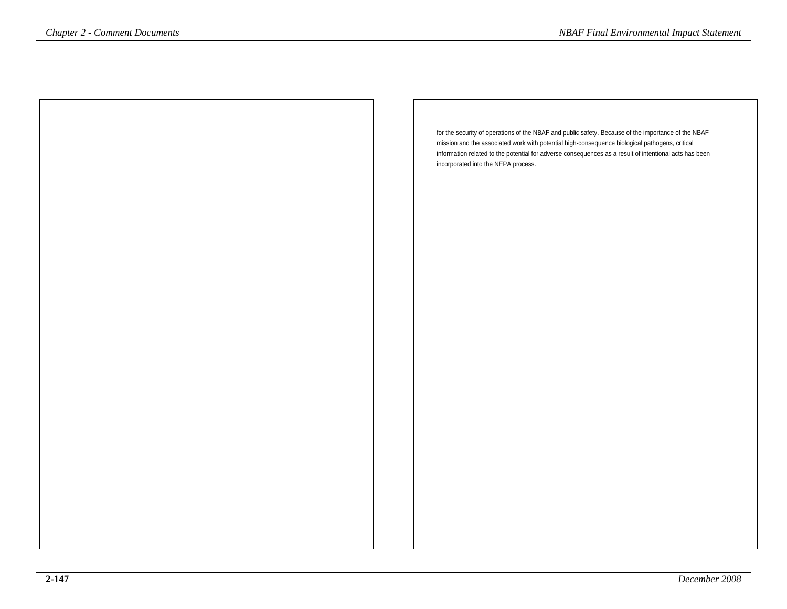| <i>Chapter 2 - Comment Documents</i> | <b>NBAF Final Environmental Impact Statement</b>                                                                                                                                                         |
|--------------------------------------|----------------------------------------------------------------------------------------------------------------------------------------------------------------------------------------------------------|
|                                      |                                                                                                                                                                                                          |
|                                      |                                                                                                                                                                                                          |
|                                      |                                                                                                                                                                                                          |
|                                      |                                                                                                                                                                                                          |
|                                      |                                                                                                                                                                                                          |
|                                      | for the security of operations of the NBAF and public safety. Because of the importance of the NBAF                                                                                                      |
|                                      | mission and the associated work with potential high-consequence biological pathogens, critical<br>information related to the potential for adverse consequences as a result of intentional acts has been |
|                                      | incorporated into the NEPA process.                                                                                                                                                                      |
|                                      |                                                                                                                                                                                                          |
|                                      |                                                                                                                                                                                                          |
|                                      |                                                                                                                                                                                                          |
|                                      |                                                                                                                                                                                                          |
|                                      |                                                                                                                                                                                                          |
|                                      |                                                                                                                                                                                                          |
|                                      |                                                                                                                                                                                                          |
|                                      |                                                                                                                                                                                                          |
|                                      |                                                                                                                                                                                                          |
|                                      |                                                                                                                                                                                                          |
|                                      |                                                                                                                                                                                                          |
|                                      |                                                                                                                                                                                                          |
|                                      |                                                                                                                                                                                                          |
|                                      |                                                                                                                                                                                                          |
|                                      |                                                                                                                                                                                                          |
|                                      |                                                                                                                                                                                                          |
|                                      |                                                                                                                                                                                                          |
|                                      |                                                                                                                                                                                                          |
|                                      |                                                                                                                                                                                                          |
|                                      |                                                                                                                                                                                                          |
|                                      |                                                                                                                                                                                                          |
|                                      |                                                                                                                                                                                                          |
|                                      |                                                                                                                                                                                                          |
|                                      |                                                                                                                                                                                                          |
|                                      |                                                                                                                                                                                                          |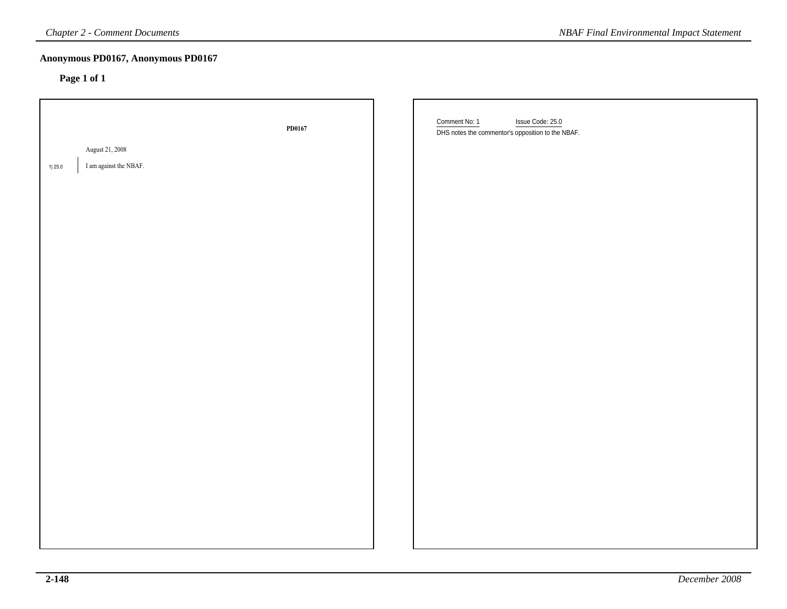| <b>Chapter 2 - Comment Documents</b>                |        | <b>NBAF Final Environmental Impact Statement</b>                                       |
|-----------------------------------------------------|--------|----------------------------------------------------------------------------------------|
| Anonymous PD0167, Anonymous PD0167<br>Page 1 of 1   |        |                                                                                        |
|                                                     | PD0167 | Comment No: 1<br>Issue Code: 25.0<br>DHS notes the commentor's opposition to the NBAF. |
| August 21, 2008<br>I am against the NBAF.<br>1 25.0 |        |                                                                                        |
|                                                     |        |                                                                                        |
|                                                     |        |                                                                                        |
|                                                     |        |                                                                                        |
|                                                     |        |                                                                                        |
|                                                     |        |                                                                                        |
|                                                     |        |                                                                                        |
|                                                     |        |                                                                                        |
|                                                     |        |                                                                                        |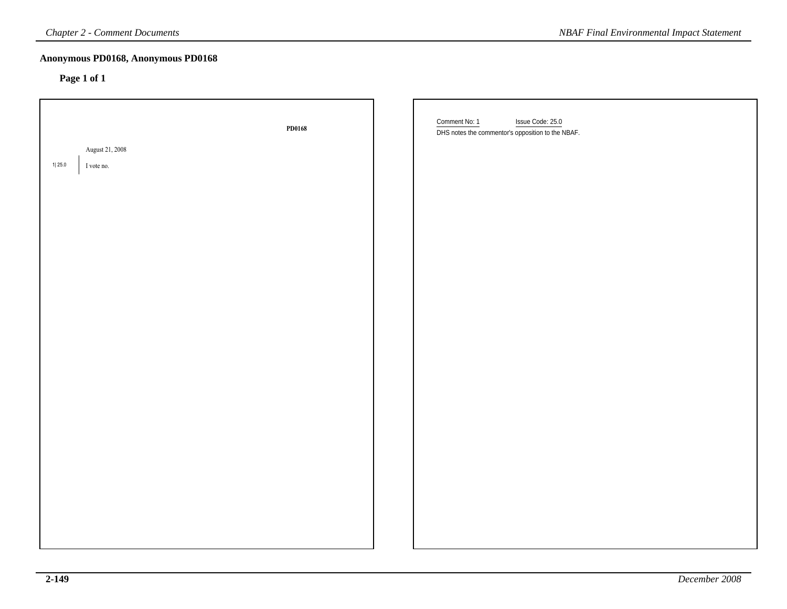| <b>Chapter 2 - Comment Documents</b>              |        | <b>NBAF Final Environmental Impact Statement</b>                                       |
|---------------------------------------------------|--------|----------------------------------------------------------------------------------------|
| Anonymous PD0168, Anonymous PD0168<br>Page 1 of 1 |        |                                                                                        |
| August 21, 2008<br>1 25.0<br>I vote no.           | PD0168 | Comment No: 1<br>Issue Code: 25.0<br>DHS notes the commentor's opposition to the NBAF. |
|                                                   |        |                                                                                        |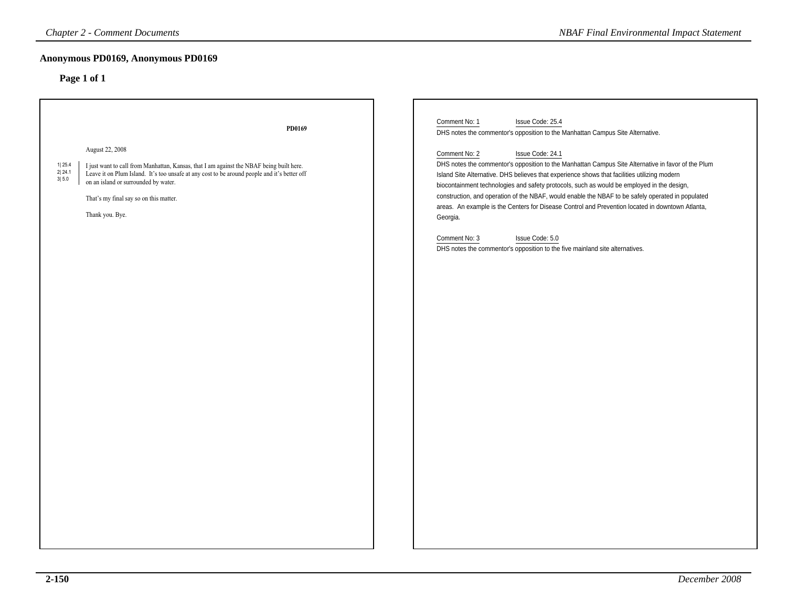| <b>Chapter 2 - Comment Documents</b>                                                                                                                                                                                                                                                                                                                     | <b>NBAF Final Environmental Impact Statement</b>                                                                                                                                                                                                                                                                                                                                                                                                                                                                                                                                                                                                                                                                                                                                                      |
|----------------------------------------------------------------------------------------------------------------------------------------------------------------------------------------------------------------------------------------------------------------------------------------------------------------------------------------------------------|-------------------------------------------------------------------------------------------------------------------------------------------------------------------------------------------------------------------------------------------------------------------------------------------------------------------------------------------------------------------------------------------------------------------------------------------------------------------------------------------------------------------------------------------------------------------------------------------------------------------------------------------------------------------------------------------------------------------------------------------------------------------------------------------------------|
| Anonymous PD0169, Anonymous PD0169<br>Page 1 of 1                                                                                                                                                                                                                                                                                                        |                                                                                                                                                                                                                                                                                                                                                                                                                                                                                                                                                                                                                                                                                                                                                                                                       |
| PD0169<br>August 22, 2008<br>1  25.4<br>I just want to call from Manhattan, Kansas, that I am against the NBAF being built here.<br>2 24.1<br>Leave it on Plum Island. It's too unsafe at any cost to be around people and it's better off<br>3 5.0<br>on an island or surrounded by water.<br>That's my final say so on this matter.<br>Thank you. Bye. | Comment No: 1<br>Issue Code: 25.4<br>DHS notes the commentor's opposition to the Manhattan Campus Site Alternative.<br>Issue Code: 24.1<br>Comment No: 2<br>DHS notes the commentor's opposition to the Manhattan Campus Site Alternative in favor of the Plum<br>Island Site Alternative. DHS believes that experience shows that facilities utilizing modern<br>biocontainment technologies and safety protocols, such as would be employed in the design,<br>construction, and operation of the NBAF, would enable the NBAF to be safely operated in populated<br>areas. An example is the Centers for Disease Control and Prevention located in downtown Atlanta,<br>Georgia.<br>Comment No: 3<br>Issue Code: 5.0<br>DHS notes the commentor's opposition to the five mainland site alternatives. |
|                                                                                                                                                                                                                                                                                                                                                          |                                                                                                                                                                                                                                                                                                                                                                                                                                                                                                                                                                                                                                                                                                                                                                                                       |